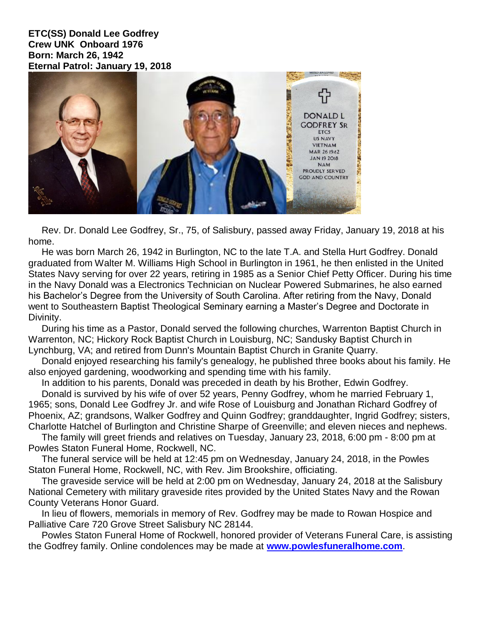**ETC(SS) Donald Lee Godfrey Crew UNK Onboard 1976 Born: March 26, 1942 Eternal Patrol: January 19, 2018**



 Rev. Dr. Donald Lee Godfrey, Sr., 75, of Salisbury, passed away Friday, January 19, 2018 at his home.

 He was born March 26, 1942 in Burlington, NC to the late T.A. and Stella Hurt Godfrey. Donald graduated from Walter M. Williams High School in Burlington in 1961, he then enlisted in the United States Navy serving for over 22 years, retiring in 1985 as a Senior Chief Petty Officer. During his time in the Navy Donald was a Electronics Technician on Nuclear Powered Submarines, he also earned his Bachelor's Degree from the University of South Carolina. After retiring from the Navy, Donald went to Southeastern Baptist Theological Seminary earning a Master's Degree and Doctorate in Divinity.

 During his time as a Pastor, Donald served the following churches, Warrenton Baptist Church in Warrenton, NC; Hickory Rock Baptist Church in Louisburg, NC; Sandusky Baptist Church in Lynchburg, VA; and retired from Dunn's Mountain Baptist Church in Granite Quarry.

 Donald enjoyed researching his family's genealogy, he published three books about his family. He also enjoyed gardening, woodworking and spending time with his family.

In addition to his parents, Donald was preceded in death by his Brother, Edwin Godfrey.

 Donald is survived by his wife of over 52 years, Penny Godfrey, whom he married February 1, 1965; sons, Donald Lee Godfrey Jr. and wife Rose of Louisburg and Jonathan Richard Godfrey of Phoenix, AZ; grandsons, Walker Godfrey and Quinn Godfrey; granddaughter, Ingrid Godfrey; sisters, Charlotte Hatchel of Burlington and Christine Sharpe of Greenville; and eleven nieces and nephews.

 The family will greet friends and relatives on Tuesday, January 23, 2018, 6:00 pm - 8:00 pm at Powles Staton Funeral Home, Rockwell, NC.

 The funeral service will be held at 12:45 pm on Wednesday, January 24, 2018, in the Powles Staton Funeral Home, Rockwell, NC, with Rev. Jim Brookshire, officiating.

 The graveside service will be held at 2:00 pm on Wednesday, January 24, 2018 at the Salisbury National Cemetery with military graveside rites provided by the United States Navy and the Rowan County Veterans Honor Guard.

 In lieu of flowers, memorials in memory of Rev. Godfrey may be made to Rowan Hospice and Palliative Care 720 Grove Street Salisbury NC 28144.

 Powles Staton Funeral Home of Rockwell, honored provider of Veterans Funeral Care, is assisting the Godfrey family. Online condolences may be made at **[www.powlesfuneralhome.com](http://www.powlesfuneralhome.com/)**.